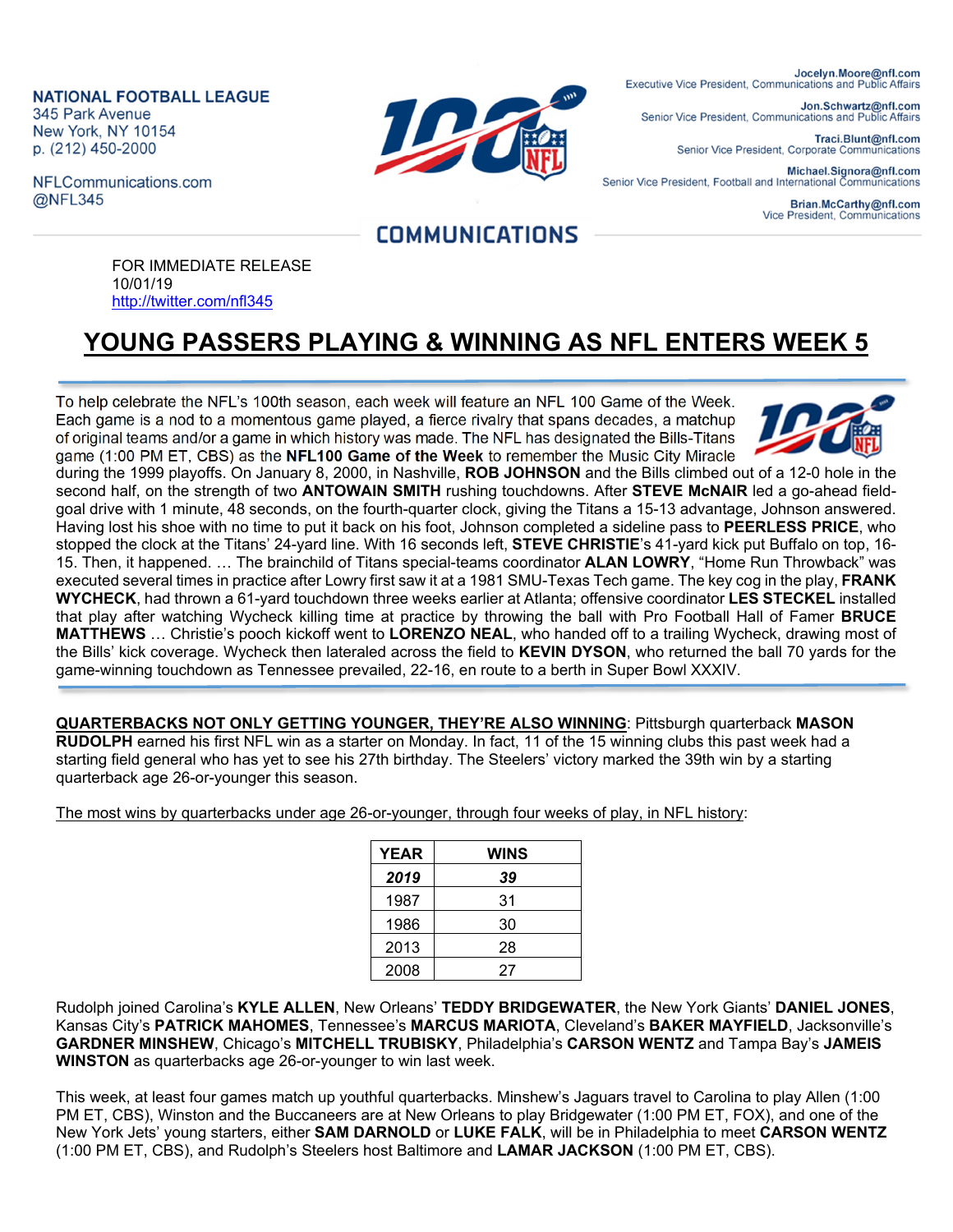**NATIONAL FOOTBALL LEAGUE** 345 Park Avenue New York, NY 10154 p. (212) 450-2000

NFLCommunications.com @NFL345



Jocelyn.Moore@nfl.com Executive Vice President, Communications and Public Affairs

Jon.Schwartz@nfl.com Senior Vice President, Communications and Public Affairs

> Traci.Blunt@nfl.com Senior Vice President, Corporate Communications

Michael.Signora@nfl.com Senior Vice President, Football and International Communications

> Brian.McCarthy@nfl.com Vice President, Communications

## **COMMUNICATIONS**

FOR IMMEDIATE RELEASE 10/01/19 http://twitter.com/nfl345

## **YOUNG PASSERS PLAYING & WINNING AS NFL ENTERS WEEK 5**

To help celebrate the NFL's 100th season, each week will feature an NFL 100 Game of the Week. Each game is a nod to a momentous game played, a fierce rivalry that spans decades, a matchup of original teams and/or a game in which history was made. The NFL has designated the Bills-Titans game (1:00 PM ET, CBS) as the **NFL100 Game of the Week** to remember the Music City Miracle



during the 1999 playoffs. On January 8, 2000, in Nashville, **ROB JOHNSON** and the Bills climbed out of a 12-0 hole in the second half, on the strength of two **ANTOWAIN SMITH** rushing touchdowns. After **STEVE McNAIR** led a go-ahead fieldgoal drive with 1 minute, 48 seconds, on the fourth-quarter clock, giving the Titans a 15-13 advantage, Johnson answered. Having lost his shoe with no time to put it back on his foot, Johnson completed a sideline pass to **PEERLESS PRICE**, who stopped the clock at the Titans' 24-yard line. With 16 seconds left, **STEVE CHRISTIE**'s 41-yard kick put Buffalo on top, 16- 15. Then, it happened. … The brainchild of Titans special-teams coordinator **ALAN LOWRY**, "Home Run Throwback" was executed several times in practice after Lowry first saw it at a 1981 SMU-Texas Tech game. The key cog in the play, **FRANK WYCHECK**, had thrown a 61-yard touchdown three weeks earlier at Atlanta; offensive coordinator **LES STECKEL** installed that play after watching Wycheck killing time at practice by throwing the ball with Pro Football Hall of Famer **BRUCE MATTHEWS** … Christie's pooch kickoff went to **LORENZO NEAL**, who handed off to a trailing Wycheck, drawing most of the Bills' kick coverage. Wycheck then lateraled across the field to **KEVIN DYSON**, who returned the ball 70 yards for the game-winning touchdown as Tennessee prevailed, 22-16, en route to a berth in Super Bowl XXXIV.

**QUARTERBACKS NOT ONLY GETTING YOUNGER, THEY'RE ALSO WINNING**: Pittsburgh quarterback **MASON RUDOLPH** earned his first NFL win as a starter on Monday. In fact, 11 of the 15 winning clubs this past week had a starting field general who has yet to see his 27th birthday. The Steelers' victory marked the 39th win by a starting quarterback age 26-or-younger this season.

The most wins by quarterbacks under age 26-or-younger, through four weeks of play, in NFL history:

| <b>YEAR</b> | <b>WINS</b> |
|-------------|-------------|
| 2019        | 39          |
| 1987        | 31          |
| 1986        | 30          |
| 2013        | 28          |
| 2008        | 27          |

Rudolph joined Carolina's **KYLE ALLEN**, New Orleans' **TEDDY BRIDGEWATER**, the New York Giants' **DANIEL JONES**, Kansas City's **PATRICK MAHOMES**, Tennessee's **MARCUS MARIOTA**, Cleveland's **BAKER MAYFIELD**, Jacksonville's **GARDNER MINSHEW**, Chicago's **MITCHELL TRUBISKY**, Philadelphia's **CARSON WENTZ** and Tampa Bay's **JAMEIS WINSTON** as quarterbacks age 26-or-younger to win last week.

This week, at least four games match up youthful quarterbacks. Minshew's Jaguars travel to Carolina to play Allen (1:00 PM ET, CBS), Winston and the Buccaneers are at New Orleans to play Bridgewater (1:00 PM ET, FOX), and one of the New York Jets' young starters, either **SAM DARNOLD** or **LUKE FALK**, will be in Philadelphia to meet **CARSON WENTZ**  (1:00 PM ET, CBS), and Rudolph's Steelers host Baltimore and **LAMAR JACKSON** (1:00 PM ET, CBS).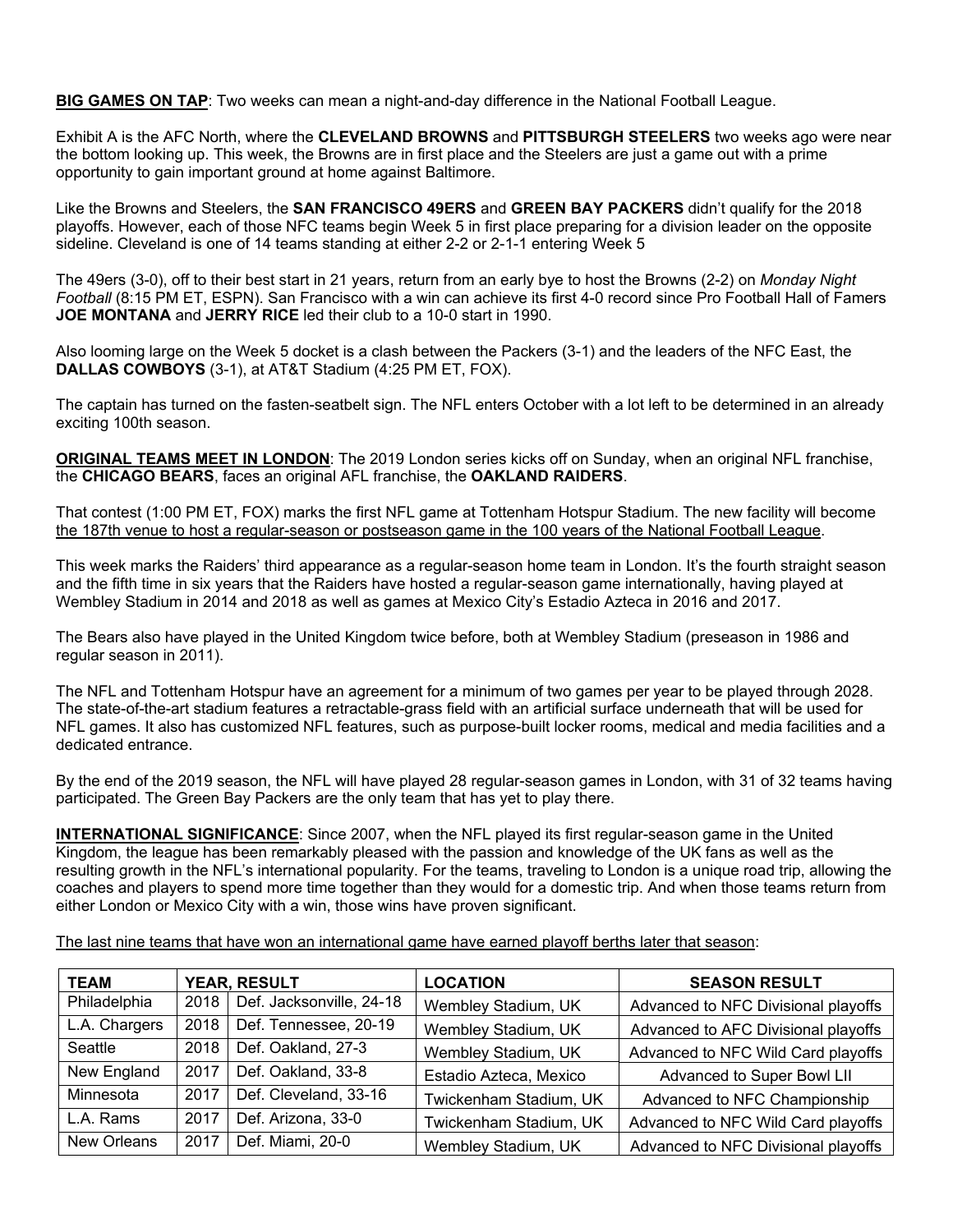**BIG GAMES ON TAP**: Two weeks can mean a night-and-day difference in the National Football League.

Exhibit A is the AFC North, where the **CLEVELAND BROWNS** and **PITTSBURGH STEELERS** two weeks ago were near the bottom looking up. This week, the Browns are in first place and the Steelers are just a game out with a prime opportunity to gain important ground at home against Baltimore.

Like the Browns and Steelers, the **SAN FRANCISCO 49ERS** and **GREEN BAY PACKERS** didn't qualify for the 2018 playoffs. However, each of those NFC teams begin Week 5 in first place preparing for a division leader on the opposite sideline. Cleveland is one of 14 teams standing at either 2-2 or 2-1-1 entering Week 5

The 49ers (3-0), off to their best start in 21 years, return from an early bye to host the Browns (2-2) on *Monday Night Football* (8:15 PM ET, ESPN). San Francisco with a win can achieve its first 4-0 record since Pro Football Hall of Famers **JOE MONTANA** and **JERRY RICE** led their club to a 10-0 start in 1990.

Also looming large on the Week 5 docket is a clash between the Packers (3-1) and the leaders of the NFC East, the **DALLAS COWBOYS** (3-1), at AT&T Stadium (4:25 PM ET, FOX).

The captain has turned on the fasten-seatbelt sign. The NFL enters October with a lot left to be determined in an already exciting 100th season.

**ORIGINAL TEAMS MEET IN LONDON**: The 2019 London series kicks off on Sunday, when an original NFL franchise, the **CHICAGO BEARS**, faces an original AFL franchise, the **OAKLAND RAIDERS**.

That contest (1:00 PM ET, FOX) marks the first NFL game at Tottenham Hotspur Stadium. The new facility will become the 187th venue to host a regular-season or postseason game in the 100 years of the National Football League.

This week marks the Raiders' third appearance as a regular-season home team in London. It's the fourth straight season and the fifth time in six years that the Raiders have hosted a regular-season game internationally, having played at Wembley Stadium in 2014 and 2018 as well as games at Mexico City's Estadio Azteca in 2016 and 2017.

The Bears also have played in the United Kingdom twice before, both at Wembley Stadium (preseason in 1986 and regular season in 2011).

The NFL and Tottenham Hotspur have an agreement for a minimum of two games per year to be played through 2028. The state-of-the-art stadium features a retractable-grass field with an artificial surface underneath that will be used for NFL games. It also has customized NFL features, such as purpose-built locker rooms, medical and media facilities and a dedicated entrance.

By the end of the 2019 season, the NFL will have played 28 regular-season games in London, with 31 of 32 teams having participated. The Green Bay Packers are the only team that has yet to play there.

**INTERNATIONAL SIGNIFICANCE**: Since 2007, when the NFL played its first regular-season game in the United Kingdom, the league has been remarkably pleased with the passion and knowledge of the UK fans as well as the resulting growth in the NFL's international popularity. For the teams, traveling to London is a unique road trip, allowing the coaches and players to spend more time together than they would for a domestic trip. And when those teams return from either London or Mexico City with a win, those wins have proven significant.

The last nine teams that have won an international game have earned playoff berths later that season:

| <b>TEAM</b>   | <b>YEAR, RESULT</b> |                          | <b>LOCATION</b>        | <b>SEASON RESULT</b>                |  |
|---------------|---------------------|--------------------------|------------------------|-------------------------------------|--|
| Philadelphia  | 2018                | Def. Jacksonville, 24-18 | Wembley Stadium, UK    | Advanced to NFC Divisional playoffs |  |
| L.A. Chargers | 2018                | Def. Tennessee, 20-19    | Wembley Stadium, UK    | Advanced to AFC Divisional playoffs |  |
| Seattle       | 2018                | Def. Oakland, 27-3       | Wembley Stadium, UK    | Advanced to NFC Wild Card playoffs  |  |
| New England   | 2017                | Def. Oakland, 33-8       | Estadio Azteca, Mexico | Advanced to Super Bowl LII          |  |
| Minnesota     | 2017                | Def. Cleveland, 33-16    | Twickenham Stadium, UK | Advanced to NFC Championship        |  |
| L.A. Rams     | 2017                | Def. Arizona, 33-0       | Twickenham Stadium, UK | Advanced to NFC Wild Card playoffs  |  |
| New Orleans   | 2017                | Def. Miami, 20-0         | Wembley Stadium, UK    | Advanced to NFC Divisional playoffs |  |